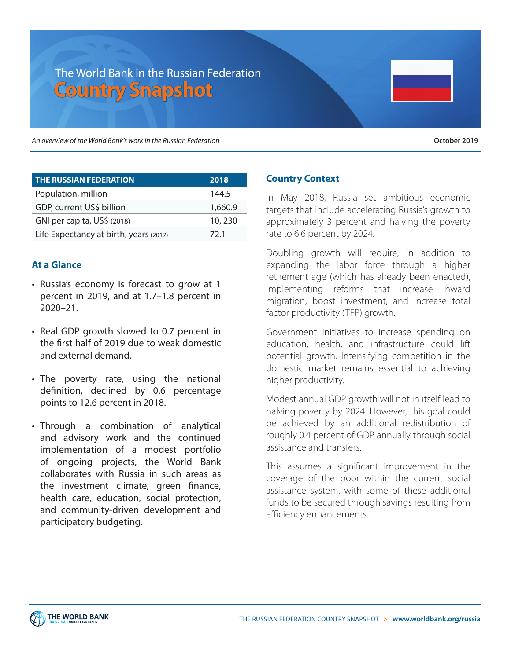# The World Bank in the Russian Federation **Country Snapshot**

An overview of the World Bank's work in the Russian Federation

| October 2019 |
|--------------|
|--------------|

| <b>THE RUSSIAN FEDERATION</b>          | 2018    |
|----------------------------------------|---------|
| Population, million                    | 144.5   |
| GDP, current US\$ billion              | 1,660.9 |
| GNI per capita, US\$ (2018)            | 10, 230 |
| Life Expectancy at birth, years (2017) | 72.1    |

## **At a Glance**

- Russia's economy is forecast to grow at 1 percent in 2019, and at 1.7–1.8 percent in 2020–21.
- Real GDP growth slowed to 0.7 percent in the first half of 2019 due to weak domestic and external demand.
- The poverty rate, using the national definition, declined by 0.6 percentage points to 12.6 percent in 2018.
- Through a combination of analytical and advisory work and the continued implementation of a modest portfolio of ongoing projects, the World Bank collaborates with Russia in such areas as the investment climate, green finance, health care, education, social protection, and community-driven development and participatory budgeting.

## **Country Context**

In May 2018, Russia set ambitious economic targets that include accelerating Russia's growth to approximately 3 percent and halving the poverty rate to 6.6 percent by 2024.

Doubling growth will require, in addition to expanding the labor force through a higher retirement age (which has already been enacted), implementing reforms that increase inward migration, boost investment, and increase total factor productivity (TFP) growth.

Government initiatives to increase spending on education, health, and infrastructure could lift potential growth. Intensifying competition in the domestic market remains essential to achieving higher productivity.

Modest annual GDP growth will not in itself lead to halving poverty by 2024. However, this goal could be achieved by an additional redistribution of roughly 0.4 percent of GDP annually through social assistance and transfers.

This assumes a significant improvement in the coverage of the poor within the current social assistance system, with some of these additional funds to be secured through savings resulting from efficiency enhancements.

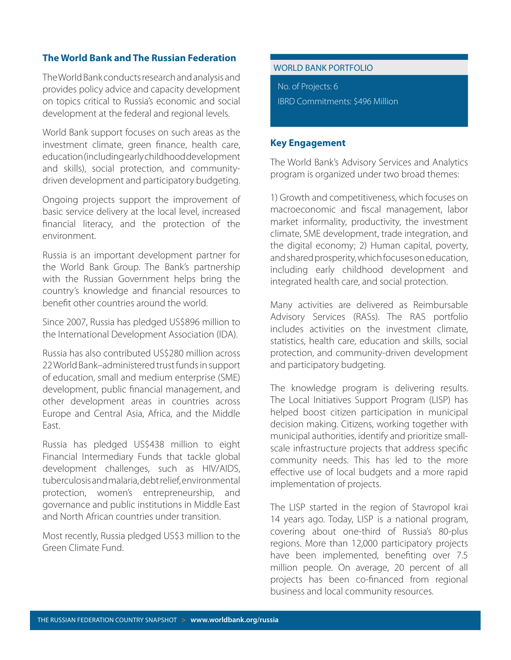# **The World Bank and The Russian Federation**

The World Bank conducts research and analysis and provides policy advice and capacity development on topics critical to Russia's economic and social development at the federal and regional levels.

World Bank support focuses on such areas as the investment climate, green finance, health care, education (including early childhood development and skills), social protection, and communitydriven development and participatory budgeting.

Ongoing projects support the improvement of basic service delivery at the local level, increased financial literacy, and the protection of the environment.

Russia is an important development partner for the World Bank Group. The Bank's partnership with the Russian Government helps bring the country's knowledge and financial resources to benefit other countries around the world.

Since 2007, Russia has pledged US\$896 million to the International Development Association (IDA).

Russia has also contributed US\$280 million across 22 World Bank–administered trust funds in support of education, small and medium enterprise (SME) development, public financial management, and other development areas in countries across Europe and Central Asia, Africa, and the Middle East.

Russia has pledged US\$438 million to eight Financial Intermediary Funds that tackle global development challenges, such as HIV/AIDS, tuberculosis and malaria, debt relief, environmental protection, women's entrepreneurship, and governance and public institutions in Middle East and North African countries under transition.

Most recently, Russia pledged US\$3 million to the Green Climate Fund.

#### WORLD BANK PORTFOLIO

No. of Projects: 6 IBRD Commitments: \$496 Million

## **Key Engagement**

The World Bank's Advisory Services and Analytics program is organized under two broad themes:

1) Growth and competitiveness, which focuses on macroeconomic and fiscal management, labor market informality, productivity, the investment climate, SME development, trade integration, and the digital economy; 2) Human capital, poverty, and shared prosperity, which focuses on education, including early childhood development and integrated health care, and social protection.

Many activities are delivered as Reimbursable Advisory Services (RASs). The RAS portfolio includes activities on the investment climate, statistics, health care, education and skills, social protection, and community-driven development and participatory budgeting.

The knowledge program is delivering results. The Local Initiatives Support Program (LISP) has helped boost citizen participation in municipal decision making. Citizens, working together with municipal authorities, identify and prioritize smallscale infrastructure projects that address specific community needs. This has led to the more effective use of local budgets and a more rapid implementation of projects.

The LISP started in the region of Stavropol krai 14 years ago. Today, LISP is a national program, covering about one-third of Russia's 80-plus regions. More than 12,000 participatory projects have been implemented, benefiting over 7.5 million people. On average, 20 percent of all projects has been co-financed from regional business and local community resources.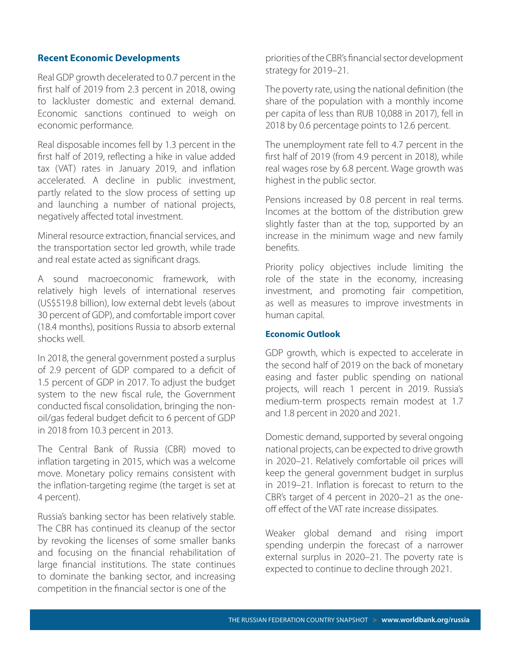#### **Recent Economic Developments**

Real GDP growth decelerated to 0.7 percent in the first half of 2019 from 2.3 percent in 2018, owing to lackluster domestic and external demand. Economic sanctions continued to weigh on economic performance.

Real disposable incomes fell by 1.3 percent in the first half of 2019, reflecting a hike in value added tax (VAT) rates in January 2019, and inflation accelerated. A decline in public investment, partly related to the slow process of setting up and launching a number of national projects, negatively affected total investment.

Mineral resource extraction, financial services, and the transportation sector led growth, while trade and real estate acted as significant drags.

A sound macroeconomic framework, with relatively high levels of international reserves (US\$519.8 billion), low external debt levels (about 30 percent of GDP), and comfortable import cover (18.4 months), positions Russia to absorb external shocks well.

In 2018, the general government posted a surplus of 2.9 percent of GDP compared to a deficit of 1.5 percent of GDP in 2017. To adjust the budget system to the new fiscal rule, the Government conducted fiscal consolidation, bringing the nonoil/gas federal budget deficit to 6 percent of GDP in 2018 from 10.3 percent in 2013.

The Central Bank of Russia (CBR) moved to inflation targeting in 2015, which was a welcome move. Monetary policy remains consistent with the inflation-targeting regime (the target is set at 4 percent).

Russia's banking sector has been relatively stable. The CBR has continued its cleanup of the sector by revoking the licenses of some smaller banks and focusing on the financial rehabilitation of large financial institutions. The state continues to dominate the banking sector, and increasing competition in the financial sector is one of the

priorities of the CBR's financial sector development strategy for 2019–21.

The poverty rate, using the national definition (the share of the population with a monthly income per capita of less than RUB 10,088 in 2017), fell in 2018 by 0.6 percentage points to 12.6 percent.

The unemployment rate fell to 4.7 percent in the first half of 2019 (from 4.9 percent in 2018), while real wages rose by 6.8 percent. Wage growth was highest in the public sector.

Pensions increased by 0.8 percent in real terms. Incomes at the bottom of the distribution grew slightly faster than at the top, supported by an increase in the minimum wage and new family benefits.

Priority policy objectives include limiting the role of the state in the economy, increasing investment, and promoting fair competition, as well as measures to improve investments in human capital.

#### **Economic Outlook**

GDP growth, which is expected to accelerate in the second half of 2019 on the back of monetary easing and faster public spending on national projects, will reach 1 percent in 2019. Russia's medium-term prospects remain modest at 1.7 and 1.8 percent in 2020 and 2021.

Domestic demand, supported by several ongoing national projects, can be expected to drive growth in 2020–21. Relatively comfortable oil prices will keep the general government budget in surplus in 2019–21. Inflation is forecast to return to the CBR's target of 4 percent in 2020–21 as the oneoff effect of the VAT rate increase dissipates.

Weaker global demand and rising import spending underpin the forecast of a narrower external surplus in 2020–21. The poverty rate is expected to continue to decline through 2021.